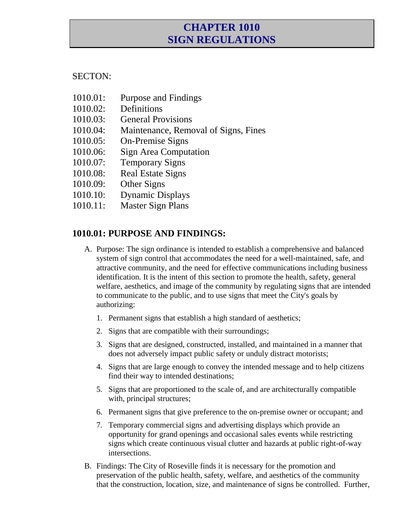# **CHAPTER 1010 SIGN REGULATIONS**

#### SECTON:

- 1010.01: Purpose and Findings
- 1010.02: Definitions
- 1010.03: General Provisions
- 1010.04: Maintenance, Removal of Signs, Fines
- 1010.05: On-Premise Signs
- 1010.06: Sign Area Computation
- 1010.07: Temporary Signs
- 1010.08: Real Estate Signs
- 1010.09: Other Signs
- 1010.10: Dynamic Displays
- 1010.11: Master Sign Plans

## **1010.01: PURPOSE AND FINDINGS:**

- A. Purpose: The sign ordinance is intended to establish a comprehensive and balanced system of sign control that accommodates the need for a well-maintained, safe, and attractive community, and the need for effective communications including business identification. It is the intent of this section to promote the health, safety, general welfare, aesthetics, and image of the community by regulating signs that are intended to communicate to the public, and to use signs that meet the City's goals by authorizing:
	- 1. Permanent signs that establish a high standard of aesthetics;
	- 2. Signs that are compatible with their surroundings;
	- 3. Signs that are designed, constructed, installed, and maintained in a manner that does not adversely impact public safety or unduly distract motorists;
	- 4. Signs that are large enough to convey the intended message and to help citizens find their way to intended destinations;
	- 5. Signs that are proportioned to the scale of, and are architecturally compatible with, principal structures;
	- 6. Permanent signs that give preference to the on-premise owner or occupant; and
	- 7. Temporary commercial signs and advertising displays which provide an opportunity for grand openings and occasional sales events while restricting signs which create continuous visual clutter and hazards at public right-of-way intersections.
- B. Findings: The City of Roseville finds it is necessary for the promotion and preservation of the public health, safety, welfare, and aesthetics of the community that the construction, location, size, and maintenance of signs be controlled. Further,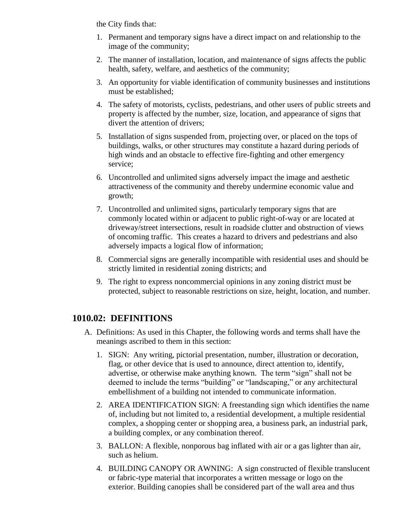the City finds that:

- 1. Permanent and temporary signs have a direct impact on and relationship to the image of the community;
- 2. The manner of installation, location, and maintenance of signs affects the public health, safety, welfare, and aesthetics of the community;
- 3. An opportunity for viable identification of community businesses and institutions must be established;
- 4. The safety of motorists, cyclists, pedestrians, and other users of public streets and property is affected by the number, size, location, and appearance of signs that divert the attention of drivers;
- 5. Installation of signs suspended from, projecting over, or placed on the tops of buildings, walks, or other structures may constitute a hazard during periods of high winds and an obstacle to effective fire-fighting and other emergency service;
- 6. Uncontrolled and unlimited signs adversely impact the image and aesthetic attractiveness of the community and thereby undermine economic value and growth;
- 7. Uncontrolled and unlimited signs, particularly temporary signs that are commonly located within or adjacent to public right-of-way or are located at driveway/street intersections, result in roadside clutter and obstruction of views of oncoming traffic. This creates a hazard to drivers and pedestrians and also adversely impacts a logical flow of information;
- 8. Commercial signs are generally incompatible with residential uses and should be strictly limited in residential zoning districts; and
- 9. The right to express noncommercial opinions in any zoning district must be protected, subject to reasonable restrictions on size, height, location, and number.

# **1010.02: DEFINITIONS**

- A. Definitions: As used in this Chapter, the following words and terms shall have the meanings ascribed to them in this section:
	- 1. SIGN: Any writing, pictorial presentation, number, illustration or decoration, flag, or other device that is used to announce, direct attention to, identify, advertise, or otherwise make anything known. The term "sign" shall not be deemed to include the terms "building" or "landscaping," or any architectural embellishment of a building not intended to communicate information.
	- 2. AREA IDENTIFICATION SIGN: A freestanding sign which identifies the name of, including but not limited to, a residential development, a multiple residential complex, a shopping center or shopping area, a business park, an industrial park, a building complex, or any combination thereof.
	- 3. BALLON: A flexible, nonporous bag inflated with air or a gas lighter than air, such as helium.
	- 4. BUILDING CANOPY OR AWNING: A sign constructed of flexible translucent or fabric-type material that incorporates a written message or logo on the exterior. Building canopies shall be considered part of the wall area and thus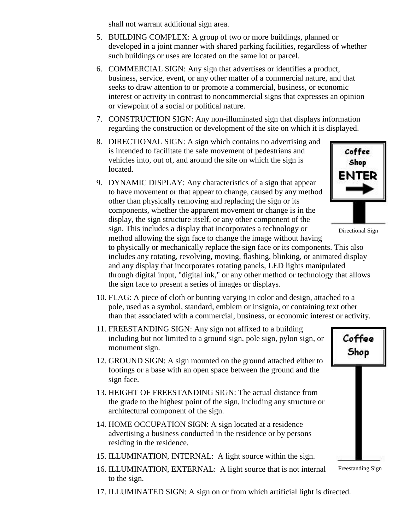shall not warrant additional sign area.

- 5. BUILDING COMPLEX: A group of two or more buildings, planned or developed in a joint manner with shared parking facilities, regardless of whether such buildings or uses are located on the same lot or parcel.
- 6. COMMERCIAL SIGN: Any sign that advertises or identifies a product, business, service, event, or any other matter of a commercial nature, and that seeks to draw attention to or promote a commercial, business, or economic interest or activity in contrast to noncommercial signs that expresses an opinion or viewpoint of a social or political nature.
- 7. CONSTRUCTION SIGN: Any non-illuminated sign that displays information regarding the construction or development of the site on which it is displayed.
- 8. DIRECTIONAL SIGN: A sign which contains no advertising and is intended to facilitate the safe movement of pedestrians and vehicles into, out of, and around the site on which the sign is located.
- 9. DYNAMIC DISPLAY: Any characteristics of a sign that appear to have movement or that appear to change, caused by any method other than physically removing and replacing the sign or its components, whether the apparent movement or change is in the display, the sign structure itself, or any other component of the sign. This includes a display that incorporates a technology or method allowing the sign face to change the image without having

Coffee Shop ENTER

Directional Sign

to physically or mechanically replace the sign face or its components. This also includes any rotating, revolving, moving, flashing, blinking, or animated display and any display that incorporates rotating panels, LED lights manipulated through digital input, "digital ink," or any other method or technology that allows the sign face to present a series of images or displays.

- 10. FLAG: A piece of cloth or bunting varying in color and design, attached to a pole, used as a symbol, standard, emblem or insignia, or containing text other than that associated with a commercial, business, or economic interest or activity.
- 11. FREESTANDING SIGN: Any sign not affixed to a building including but not limited to a ground sign, pole sign, pylon sign, or monument sign.
- 12. GROUND SIGN: A sign mounted on the ground attached either to footings or a base with an open space between the ground and the sign face.
- 13. HEIGHT OF FREESTANDING SIGN: The actual distance from the grade to the highest point of the sign, including any structure or architectural component of the sign.
- 14. HOME OCCUPATION SIGN: A sign located at a residence advertising a business conducted in the residence or by persons residing in the residence.
- 15. ILLUMINATION, INTERNAL: A light source within the sign.
- 16. ILLUMINATION, EXTERNAL: A light source that is not internal to the sign.

Coffee Shop

- Freestanding Sign
- 17. ILLUMINATED SIGN: A sign on or from which artificial light is directed.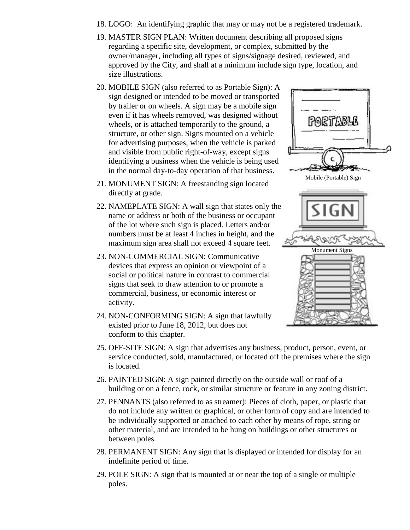- 18. LOGO: An identifying graphic that may or may not be a registered trademark.
- 19. MASTER SIGN PLAN: Written document describing all proposed signs regarding a specific site, development, or complex, submitted by the owner/manager, including all types of signs/signage desired, reviewed, and approved by the City, and shall at a minimum include sign type, location, and size illustrations.
- 20. MOBILE SIGN (also referred to as Portable Sign): A sign designed or intended to be moved or transported by trailer or on wheels. A sign may be a mobile sign even if it has wheels removed, was designed without wheels, or is attached temporarily to the ground, a structure, or other sign. Signs mounted on a vehicle for advertising purposes, when the vehicle is parked and visible from public right-of-way, except signs identifying a business when the vehicle is being used in the normal day-to-day operation of that business.
- 21. MONUMENT SIGN: A freestanding sign located directly at grade.
- 22. NAMEPLATE SIGN: A wall sign that states only the name or address or both of the business or occupant of the lot where such sign is placed. Letters and/or numbers must be at least 4 inches in height, and the maximum sign area shall not exceed 4 square feet.
- 23. NON-COMMERCIAL SIGN: Communicative devices that express an opinion or viewpoint of a social or political nature in contrast to commercial signs that seek to draw attention to or promote a commercial, business, or economic interest or activity.
- 24. NON-CONFORMING SIGN: A sign that lawfully existed prior to June 18, 2012, but does not conform to this chapter.



- 25. OFF-SITE SIGN: A sign that advertises any business, product, person, event, or service conducted, sold, manufactured, or located off the premises where the sign is located.
- 26. PAINTED SIGN: A sign painted directly on the outside wall or roof of a building or on a fence, rock, or similar structure or feature in any zoning district.
- 27. PENNANTS (also referred to as streamer): Pieces of cloth, paper, or plastic that do not include any written or graphical, or other form of copy and are intended to be individually supported or attached to each other by means of rope, string or other material, and are intended to be hung on buildings or other structures or between poles.
- 28. PERMANENT SIGN: Any sign that is displayed or intended for display for an indefinite period of time.
- 29. POLE SIGN: A sign that is mounted at or near the top of a single or multiple poles.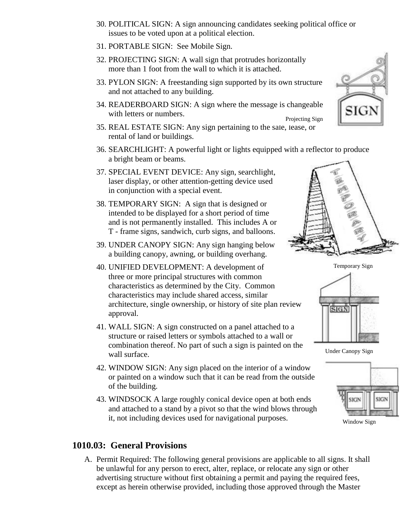- 30. POLITICAL SIGN: A sign announcing candidates seeking political office or issues to be voted upon at a political election.
- 31. PORTABLE SIGN: See Mobile Sign.
- 32. PROJECTING SIGN: A wall sign that protrudes horizontally more than 1 foot from the wall to which it is attached.
- 33. PYLON SIGN: A freestanding sign supported by its own structure and not attached to any building.
- 34. READERBOARD SIGN: A sign where the message is changeable with letters or numbers. Projecting Sign
- 35. REAL ESTATE SIGN: Any sign pertaining to the sale, lease, or rental of land or buildings.
- 36. SEARCHLIGHT: A powerful light or lights equipped with a reflector to produce a bright beam or beams.
- 37. SPECIAL EVENT DEVICE: Any sign, searchlight, laser display, or other attention-getting device used in conjunction with a special event.
- 38. TEMPORARY SIGN: A sign that is designed or intended to be displayed for a short period of time and is not permanently installed. This includes A or T - frame signs, sandwich, curb signs, and balloons.
- 39. UNDER CANOPY SIGN: Any sign hanging below a building canopy, awning, or building overhang.
- 40. UNIFIED DEVELOPMENT: A development of three or more principal structures with common characteristics as determined by the City. Common characteristics may include shared access, similar architecture, single ownership, or history of site plan review approval.
- 41. WALL SIGN: A sign constructed on a panel attached to a structure or raised letters or symbols attached to a wall or combination thereof. No part of such a sign is painted on the wall surface.
- 42. WINDOW SIGN: Any sign placed on the interior of a window or painted on a window such that it can be read from the outside of the building.
- 43. WINDSOCK A large roughly conical device open at both ends and attached to a stand by a pivot so that the wind blows through it, not including devices used for navigational purposes.

#### **1010.03: General Provisions**

A. Permit Required: The following general provisions are applicable to all signs. It shall be unlawful for any person to erect, alter, replace, or relocate any sign or other advertising structure without first obtaining a permit and paying the required fees, except as herein otherwise provided, including those approved through the Master





Temporary Sign



Under Canopy Sign



Window Sign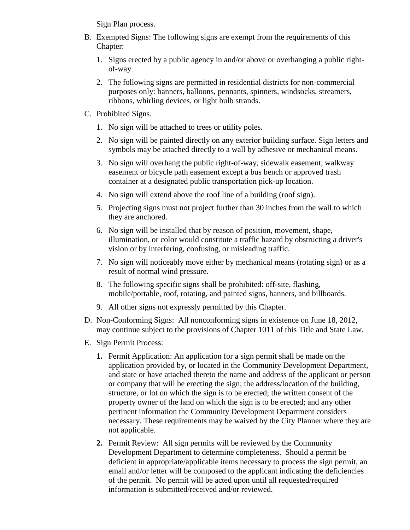Sign Plan process.

- B. Exempted Signs: The following signs are exempt from the requirements of this Chapter:
	- 1. Signs erected by a public agency in and/or above or overhanging a public rightof-way.
	- 2. The following signs are permitted in residential districts for non-commercial purposes only: banners, balloons, pennants, spinners, windsocks, streamers, ribbons, whirling devices, or light bulb strands.
- C. Prohibited Signs.
	- 1. No sign will be attached to trees or utility poles.
	- 2. No sign will be painted directly on any exterior building surface. Sign letters and symbols may be attached directly to a wall by adhesive or mechanical means.
	- 3. No sign will overhang the public right-of-way, sidewalk easement, walkway easement or bicycle path easement except a bus bench or approved trash container at a designated public transportation pick-up location.
	- 4. No sign will extend above the roof line of a building (roof sign).
	- 5. Projecting signs must not project further than 30 inches from the wall to which they are anchored.
	- 6. No sign will be installed that by reason of position, movement, shape, illumination, or color would constitute a traffic hazard by obstructing a driver's vision or by interfering, confusing, or misleading traffic.
	- 7. No sign will noticeably move either by mechanical means (rotating sign) or as a result of normal wind pressure.
	- 8. The following specific signs shall be prohibited: off-site, flashing, mobile/portable, roof, rotating, and painted signs, banners, and billboards.
	- 9. All other signs not expressly permitted by this Chapter.
- D. Non-Conforming Signs: All nonconforming signs in existence on June 18, 2012, may continue subject to the provisions of Chapter 1011 of this Title and State Law.
- E. Sign Permit Process:
	- **1.** Permit Application: An application for a sign permit shall be made on the application provided by, or located in the Community Development Department, and state or have attached thereto the name and address of the applicant or person or company that will be erecting the sign; the address/location of the building, structure, or lot on which the sign is to be erected; the written consent of the property owner of the land on which the sign is to be erected; and any other pertinent information the Community Development Department considers necessary. These requirements may be waived by the City Planner where they are not applicable.
	- **2.** Permit Review: All sign permits will be reviewed by the Community Development Department to determine completeness. Should a permit be deficient in appropriate/applicable items necessary to process the sign permit, an email and/or letter will be composed to the applicant indicating the deficiencies of the permit. No permit will be acted upon until all requested/required information is submitted/received and/or reviewed.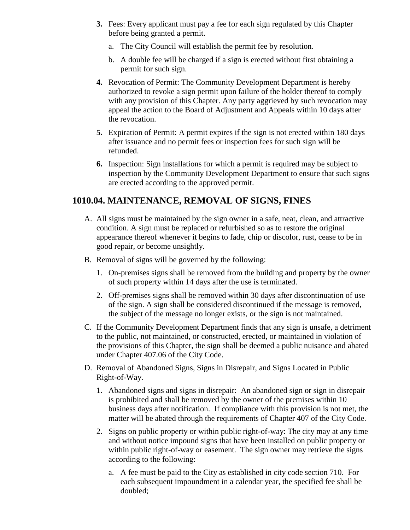- **3.** Fees: Every applicant must pay a fee for each sign regulated by this Chapter before being granted a permit.
	- a. The City Council will establish the permit fee by resolution.
	- b. A double fee will be charged if a sign is erected without first obtaining a permit for such sign.
- **4.** Revocation of Permit: The Community Development Department is hereby authorized to revoke a sign permit upon failure of the holder thereof to comply with any provision of this Chapter. Any party aggrieved by such revocation may appeal the action to the Board of Adjustment and Appeals within 10 days after the revocation.
- **5.** Expiration of Permit: A permit expires if the sign is not erected within 180 days after issuance and no permit fees or inspection fees for such sign will be refunded.
- **6.** Inspection: Sign installations for which a permit is required may be subject to inspection by the Community Development Department to ensure that such signs are erected according to the approved permit.

## **1010.04. MAINTENANCE, REMOVAL OF SIGNS, FINES**

- A. All signs must be maintained by the sign owner in a safe, neat, clean, and attractive condition. A sign must be replaced or refurbished so as to restore the original appearance thereof whenever it begins to fade, chip or discolor, rust, cease to be in good repair, or become unsightly.
- B. Removal of signs will be governed by the following:
	- 1. On-premises signs shall be removed from the building and property by the owner of such property within 14 days after the use is terminated.
	- 2. Off-premises signs shall be removed within 30 days after discontinuation of use of the sign. A sign shall be considered discontinued if the message is removed, the subject of the message no longer exists, or the sign is not maintained.
- C. If the Community Development Department finds that any sign is unsafe, a detriment to the public, not maintained, or constructed, erected, or maintained in violation of the provisions of this Chapter, the sign shall be deemed a public nuisance and abated under Chapter 407.06 of the City Code.
- D. Removal of Abandoned Signs, Signs in Disrepair, and Signs Located in Public Right-of-Way.
	- 1. Abandoned signs and signs in disrepair: An abandoned sign or sign in disrepair is prohibited and shall be removed by the owner of the premises within 10 business days after notification. If compliance with this provision is not met, the matter will be abated through the requirements of Chapter 407 of the City Code.
	- 2. Signs on public property or within public right-of-way: The city may at any time and without notice impound signs that have been installed on public property or within public right-of-way or easement. The sign owner may retrieve the signs according to the following:
		- a. A fee must be paid to the City as established in city code section 710. For each subsequent impoundment in a calendar year, the specified fee shall be doubled;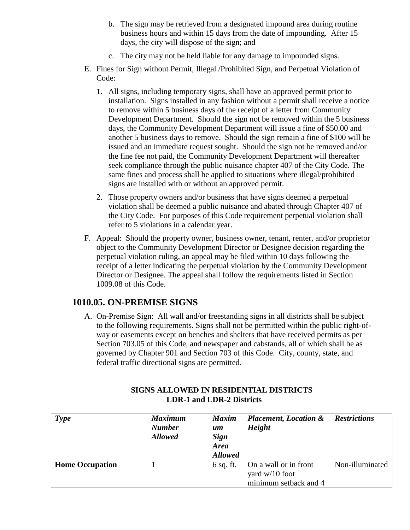- b. The sign may be retrieved from a designated impound area during routine business hours and within 15 days from the date of impounding. After 15 days, the city will dispose of the sign; and
- c. The city may not be held liable for any damage to impounded signs.
- E. Fines for Sign without Permit, Illegal /Prohibited Sign, and Perpetual Violation of Code:
	- 1. All signs, including temporary signs, shall have an approved permit prior to installation. Signs installed in any fashion without a permit shall receive a notice to remove within 5 business days of the receipt of a letter from Community Development Department. Should the sign not be removed within the 5 business days, the Community Development Department will issue a fine of \$50.00 and another 5 business days to remove. Should the sign remain a fine of \$100 will be issued and an immediate request sought. Should the sign not be removed and/or the fine fee not paid, the Community Development Department will thereafter seek compliance through the public nuisance chapter 407 of the City Code. The same fines and process shall be applied to situations where illegal/prohibited signs are installed with or without an approved permit.
	- 2. Those property owners and/or business that have signs deemed a perpetual violation shall be deemed a public nuisance and abated through Chapter 407 of the City Code. For purposes of this Code requirement perpetual violation shall refer to 5 violations in a calendar year.
- F. Appeal: Should the property owner, business owner, tenant, renter, and/or proprietor object to the Community Development Director or Designee decision regarding the perpetual violation ruling, an appeal may be filed within 10 days following the receipt of a letter indicating the perpetual violation by the Community Development Director or Designee. The appeal shall follow the requirements listed in Section 1009.08 of this Code.

#### **1010.05. ON-PREMISE SIGNS**

A. On-Premise Sign: All wall and/or freestanding signs in all districts shall be subject to the following requirements. Signs shall not be permitted within the public right-ofway or easements except on benches and shelters that have received permits as per Section 703.05 of this Code, and newspaper and cabstands, all of which shall be as governed by Chapter 901 and Section 703 of this Code. City, county, state, and federal traffic directional signs are permitted.

| <b>Type</b>            | <b>Maximum</b><br><b>Number</b><br><b>Allowed</b> | <b>Maxim</b><br>um<br><b>Sign</b><br><b>Area</b><br><b>Allowed</b> | <b>Placement, Location &amp;</b><br>Height                       | <b>Restrictions</b> |
|------------------------|---------------------------------------------------|--------------------------------------------------------------------|------------------------------------------------------------------|---------------------|
| <b>Home Occupation</b> |                                                   | $6$ sq. ft.                                                        | On a wall or in front<br>yard w/10 foot<br>minimum setback and 4 | Non-illuminated     |

#### **SIGNS ALLOWED IN RESIDENTIAL DISTRICTS LDR-1 and LDR-2 Districts**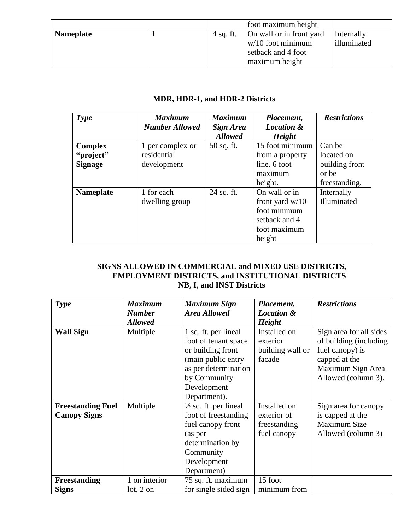|                  |           | foot maximum height      |             |
|------------------|-----------|--------------------------|-------------|
| <b>Nameplate</b> | 4 sq. ft. | On wall or in front yard | Internally  |
|                  |           | $w/10$ foot minimum      | illuminated |
|                  |           | setback and 4 foot       |             |
|                  |           | maximum height           |             |

#### **MDR, HDR-1, and HDR-2 Districts**

| <b>Type</b>      | <b>Maximum</b>        | <b>Maximum</b>   | Placement,            | <b>Restrictions</b> |
|------------------|-----------------------|------------------|-----------------------|---------------------|
|                  | <b>Number Allowed</b> | <b>Sign Area</b> | <b>Location &amp;</b> |                     |
|                  |                       | <b>Allowed</b>   | <b>Height</b>         |                     |
| <b>Complex</b>   | 1 per complex or      | $50$ sq. ft.     | 15 foot minimum       | Can be              |
| "project"        | residential           |                  | from a property       | located on          |
| <b>Signage</b>   | development           |                  | line. 6 foot          | building front      |
|                  |                       |                  | maximum               | or be               |
|                  |                       |                  | height.               | freestanding.       |
| <b>Nameplate</b> | 1 for each            | 24 sq. ft.       | On wall or in         | Internally          |
|                  | dwelling group        |                  | front yard $w/10$     | Illuminated         |
|                  |                       |                  | foot minimum          |                     |
|                  |                       |                  | setback and 4         |                     |
|                  |                       |                  | foot maximum          |                     |
|                  |                       |                  | height                |                     |

#### **SIGNS ALLOWED IN COMMERCIAL and MIXED USE DISTRICTS, EMPLOYMENT DISTRICTS, and INSTITUTIONAL DISTRICTS NB, I, and INST Districts**

| <b>Maximum</b><br><b>Type</b> |                | <b>Maximum Sign</b>              | Placement,            | <b>Restrictions</b>     |
|-------------------------------|----------------|----------------------------------|-----------------------|-------------------------|
|                               | <b>Number</b>  | <b>Area Allowed</b>              | <b>Location &amp;</b> |                         |
|                               | <b>Allowed</b> |                                  | <b>Height</b>         |                         |
| <b>Wall Sign</b>              | Multiple       | 1 sq. ft. per lineal             | Installed on          | Sign area for all sides |
|                               |                | foot of tenant space             | exterior              | of building (including  |
|                               |                | or building front                | building wall or      | fuel canopy) is         |
|                               |                | (main public entry               | facade                | capped at the           |
|                               |                | as per determination             |                       | Maximum Sign Area       |
|                               |                | by Community                     |                       | Allowed (column 3).     |
|                               |                | Development                      |                       |                         |
|                               |                | Department).                     |                       |                         |
| <b>Freestanding Fuel</b>      | Multiple       | $\frac{1}{2}$ sq. ft. per lineal | Installed on          | Sign area for canopy    |
| <b>Canopy Signs</b>           |                | foot of freestanding             | exterior of           | is capped at the        |
|                               |                | fuel canopy front                | freestanding          | Maximum Size            |
|                               |                | (as per                          | fuel canopy           | Allowed (column 3)      |
|                               |                | determination by                 |                       |                         |
|                               |                | Community                        |                       |                         |
|                               |                | Development                      |                       |                         |
|                               |                | Department)                      |                       |                         |
| <b>Freestanding</b>           | 1 on interior  | 75 sq. ft. maximum               | 15 foot               |                         |
| <b>Signs</b>                  | lot, 2 on      | for single sided sign            | minimum from          |                         |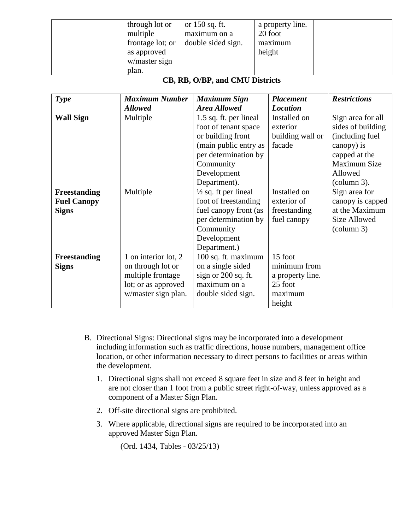| through lot or<br>multiple<br>frontage lot; or<br>as approved<br>w/master sign | or 150 sq. ft.<br>maximum on a<br>double sided sign. | a property line.<br>20 foot<br>maximum<br>height |  |
|--------------------------------------------------------------------------------|------------------------------------------------------|--------------------------------------------------|--|
| plan.                                                                          |                                                      |                                                  |  |

#### **CB, RB, O/BP, and CMU Districts**

| <b>Type</b>        | <b>Maximum Number</b> | <b>Maximum Sign</b>             | <b>Placement</b> | <b>Restrictions</b>   |
|--------------------|-----------------------|---------------------------------|------------------|-----------------------|
|                    | <b>Allowed</b>        | <b>Area Allowed</b>             | <b>Location</b>  |                       |
| <b>Wall Sign</b>   | Multiple              | 1.5 sq. ft. per lineal          | Installed on     | Sign area for all     |
|                    |                       | foot of tenant space            | exterior         | sides of building     |
|                    |                       | or building front               | building wall or | (including fuel       |
|                    |                       | (main public entry as           | facade           | canopy) is            |
|                    |                       | per determination by            |                  | capped at the         |
|                    |                       | Community                       |                  | Maximum Size          |
|                    |                       | Development                     |                  | Allowed               |
|                    |                       | Department).                    |                  | $\text{(column 3)}$ . |
| Freestanding       | Multiple              | $\frac{1}{2}$ sq. ft per lineal | Installed on     | Sign area for         |
| <b>Fuel Canopy</b> |                       | foot of freestanding            | exterior of      | canopy is capped      |
| <b>Signs</b>       |                       | fuel canopy front (as           | freestanding     | at the Maximum        |
|                    |                       | per determination by            | fuel canopy      | <b>Size Allowed</b>   |
|                    |                       | Community                       |                  | $\text{(column 3)}$   |
|                    |                       | Development                     |                  |                       |
|                    |                       | Department.)                    |                  |                       |
| Freestanding       | 1 on interior lot, 2  | 100 sq. ft. maximum             | 15 foot          |                       |
| <b>Signs</b>       | on through lot or     | on a single sided               | minimum from     |                       |
|                    | multiple frontage     | sign or 200 sq. ft.             | a property line. |                       |
|                    | lot; or as approved   | maximum on a                    | 25 foot          |                       |
|                    | w/master sign plan.   | double sided sign.              | maximum          |                       |
|                    |                       |                                 | height           |                       |

- B. Directional Signs: Directional signs may be incorporated into a development including information such as traffic directions, house numbers, management office location, or other information necessary to direct persons to facilities or areas within the development.
	- 1. Directional signs shall not exceed 8 square feet in size and 8 feet in height and are not closer than 1 foot from a public street right-of-way, unless approved as a component of a Master Sign Plan.
	- 2. Off-site directional signs are prohibited.
	- 3. Where applicable, directional signs are required to be incorporated into an approved Master Sign Plan.

(Ord. 1434, Tables - 03/25/13)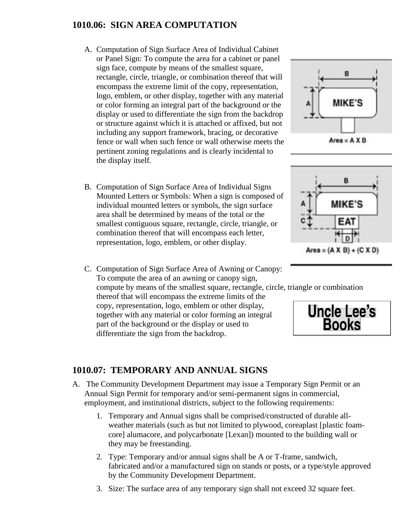# **1010.06: SIGN AREA COMPUTATION**

- A. Computation of Sign Surface Area of Individual Cabinet or Panel Sign: To compute the area for a cabinet or panel sign face, compute by means of the smallest square, rectangle, circle, triangle, or combination thereof that will encompass the extreme limit of the copy, representation, logo, emblem, or other display, together with any material or color forming an integral part of the background or the display or used to differentiate the sign from the backdrop or structure against which it is attached or affixed, but not including any support framework, bracing, or decorative fence or wall when such fence or wall otherwise meets the pertinent zoning regulations and is clearly incidental to the display itself.
- B. Computation of Sign Surface Area of Individual Signs Mounted Letters or Symbols: When a sign is composed of individual mounted letters or symbols, the sign surface area shall be determined by means of the total or the smallest contiguous square, rectangle, circle, triangle, or combination thereof that will encompass each letter, representation, logo, emblem, or other display.
- C. Computation of Sign Surface Area of Awning or Canopy: To compute the area of an awning or canopy sign, compute by means of the smallest square, rectangle, circle, triangle or combination thereof that will encompass the extreme limits of the

copy, representation, logo, emblem or other display, together with any material or color forming an integral part of the background or the display or used to differentiate the sign from the backdrop.









# **1010.07: TEMPORARY AND ANNUAL SIGNS**

- A. The Community Development Department may issue a Temporary Sign Permit or an Annual Sign Permit for temporary and/or semi-permanent signs in commercial, employment, and institutional districts, subject to the following requirements:
	- 1. Temporary and Annual signs shall be comprised/constructed of durable allweather materials (such as but not limited to plywood, coreaplast [plastic foamcore] alumacore, and polycarbonate [Lexan]) mounted to the building wall or they may be freestanding.
	- 2. Type: Temporary and/or annual signs shall be A or T-frame, sandwich, fabricated and/or a manufactured sign on stands or posts, or a type/style approved by the Community Development Department.
	- 3. Size: The surface area of any temporary sign shall not exceed 32 square feet.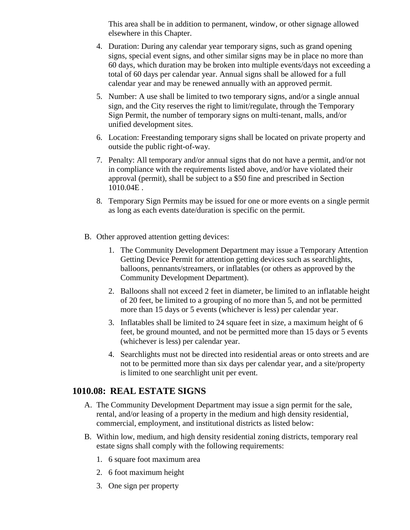This area shall be in addition to permanent, window, or other signage allowed elsewhere in this Chapter.

- 4. Duration: During any calendar year temporary signs, such as grand opening signs, special event signs, and other similar signs may be in place no more than 60 days, which duration may be broken into multiple events/days not exceeding a total of 60 days per calendar year. Annual signs shall be allowed for a full calendar year and may be renewed annually with an approved permit.
- 5. Number: A use shall be limited to two temporary signs, and/or a single annual sign, and the City reserves the right to limit/regulate, through the Temporary Sign Permit, the number of temporary signs on multi-tenant, malls, and/or unified development sites.
- 6. Location: Freestanding temporary signs shall be located on private property and outside the public right-of-way.
- 7. Penalty: All temporary and/or annual signs that do not have a permit, and/or not in compliance with the requirements listed above, and/or have violated their approval (permit), shall be subject to a \$50 fine and prescribed in Section 1010.04E .
- 8. Temporary Sign Permits may be issued for one or more events on a single permit as long as each events date/duration is specific on the permit.
- B. Other approved attention getting devices:
	- 1. The Community Development Department may issue a Temporary Attention Getting Device Permit for attention getting devices such as searchlights, balloons, pennants/streamers, or inflatables (or others as approved by the Community Development Department).
	- 2. Balloons shall not exceed 2 feet in diameter, be limited to an inflatable height of 20 feet, be limited to a grouping of no more than 5, and not be permitted more than 15 days or 5 events (whichever is less) per calendar year.
	- 3. Inflatables shall be limited to 24 square feet in size, a maximum height of 6 feet, be ground mounted, and not be permitted more than 15 days or 5 events (whichever is less) per calendar year.
	- 4. Searchlights must not be directed into residential areas or onto streets and are not to be permitted more than six days per calendar year, and a site/property is limited to one searchlight unit per event.

#### **1010.08: REAL ESTATE SIGNS**

- A. The Community Development Department may issue a sign permit for the sale, rental, and/or leasing of a property in the medium and high density residential, commercial, employment, and institutional districts as listed below:
- B. Within low, medium, and high density residential zoning districts, temporary real estate signs shall comply with the following requirements:
	- 1. 6 square foot maximum area
	- 2. 6 foot maximum height
	- 3. One sign per property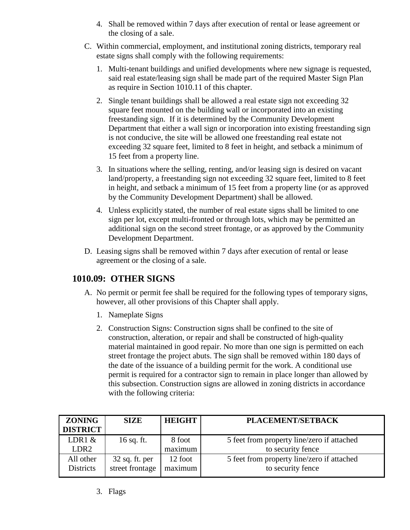- 4. Shall be removed within 7 days after execution of rental or lease agreement or the closing of a sale.
- C. Within commercial, employment, and institutional zoning districts, temporary real estate signs shall comply with the following requirements:
	- 1. Multi-tenant buildings and unified developments where new signage is requested, said real estate/leasing sign shall be made part of the required Master Sign Plan as require in Section 1010.11 of this chapter.
	- 2. Single tenant buildings shall be allowed a real estate sign not exceeding 32 square feet mounted on the building wall or incorporated into an existing freestanding sign. If it is determined by the Community Development Department that either a wall sign or incorporation into existing freestanding sign is not conducive, the site will be allowed one freestanding real estate not exceeding 32 square feet, limited to 8 feet in height, and setback a minimum of 15 feet from a property line.
	- 3. In situations where the selling, renting, and/or leasing sign is desired on vacant land/property, a freestanding sign not exceeding 32 square feet, limited to 8 feet in height, and setback a minimum of 15 feet from a property line (or as approved by the Community Development Department) shall be allowed.
	- 4. Unless explicitly stated, the number of real estate signs shall be limited to one sign per lot, except multi-fronted or through lots, which may be permitted an additional sign on the second street frontage, or as approved by the Community Development Department.
- D. Leasing signs shall be removed within 7 days after execution of rental or lease agreement or the closing of a sale.

# **1010.09: OTHER SIGNS**

- A. No permit or permit fee shall be required for the following types of temporary signs, however, all other provisions of this Chapter shall apply.
	- 1. Nameplate Signs
	- 2. Construction Signs: Construction signs shall be confined to the site of construction, alteration, or repair and shall be constructed of high-quality material maintained in good repair. No more than one sign is permitted on each street frontage the project abuts. The sign shall be removed within 180 days of the date of the issuance of a building permit for the work. A conditional use permit is required for a contractor sign to remain in place longer than allowed by this subsection. Construction signs are allowed in zoning districts in accordance with the following criteria:

| <b>ZONING</b>    | <b>SIZE</b>      | <b>HEIGHT</b> | <b>PLACEMENT/SETBACK</b>                   |
|------------------|------------------|---------------|--------------------------------------------|
| <b>DISTRICT</b>  |                  |               |                                            |
| LDR1 $\&$        | 16 sq. ft.       | 8 foot        | 5 feet from property line/zero if attached |
| LDR <sub>2</sub> |                  | maximum       | to security fence                          |
| All other        | $32$ sq. ft. per | 12 foot       | 5 feet from property line/zero if attached |
| <b>Districts</b> | street frontage  | maximum       | to security fence                          |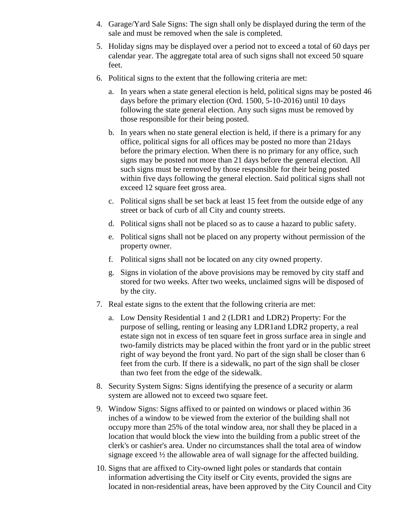- 4. Garage/Yard Sale Signs: The sign shall only be displayed during the term of the sale and must be removed when the sale is completed.
- 5. Holiday signs may be displayed over a period not to exceed a total of 60 days per calendar year. The aggregate total area of such signs shall not exceed 50 square feet.
- 6. Political signs to the extent that the following criteria are met:
	- a. In years when a state general election is held, political signs may be posted 46 days before the primary election (Ord. 1500, 5-10-2016) until 10 days following the state general election. Any such signs must be removed by those responsible for their being posted.
	- b. In years when no state general election is held, if there is a primary for any office, political signs for all offices may be posted no more than 21days before the primary election. When there is no primary for any office, such signs may be posted not more than 21 days before the general election. All such signs must be removed by those responsible for their being posted within five days following the general election. Said political signs shall not exceed 12 square feet gross area.
	- c. Political signs shall be set back at least 15 feet from the outside edge of any street or back of curb of all City and county streets.
	- d. Political signs shall not be placed so as to cause a hazard to public safety.
	- e. Political signs shall not be placed on any property without permission of the property owner.
	- f. Political signs shall not be located on any city owned property.
	- g. Signs in violation of the above provisions may be removed by city staff and stored for two weeks. After two weeks, unclaimed signs will be disposed of by the city.
- 7. Real estate signs to the extent that the following criteria are met:
	- a. Low Density Residential 1 and 2 (LDR1 and LDR2) Property: For the purpose of selling, renting or leasing any LDR1and LDR2 property, a real estate sign not in excess of ten square feet in gross surface area in single and two-family districts may be placed within the front yard or in the public street right of way beyond the front yard. No part of the sign shall be closer than 6 feet from the curb. If there is a sidewalk, no part of the sign shall be closer than two feet from the edge of the sidewalk.
- 8. Security System Signs: Signs identifying the presence of a security or alarm system are allowed not to exceed two square feet.
- 9. Window Signs: Signs affixed to or painted on windows or placed within 36 inches of a window to be viewed from the exterior of the building shall not occupy more than 25% of the total window area, nor shall they be placed in a location that would block the view into the building from a public street of the clerk's or cashier's area. Under no circumstances shall the total area of window signage exceed ½ the allowable area of wall signage for the affected building.
- 10. Signs that are affixed to City-owned light poles or standards that contain information advertising the City itself or City events, provided the signs are located in non-residential areas, have been approved by the City Council and City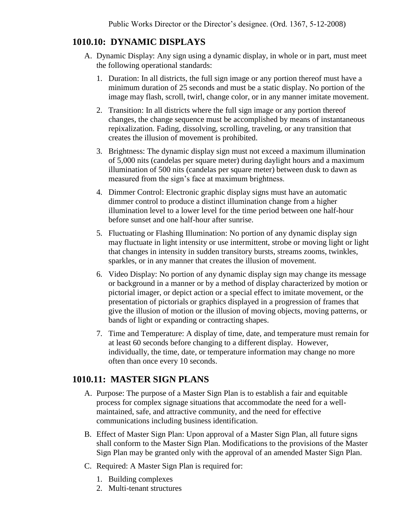## **1010.10: DYNAMIC DISPLAYS**

- A. Dynamic Display: Any sign using a dynamic display, in whole or in part, must meet the following operational standards:
	- 1. Duration: In all districts, the full sign image or any portion thereof must have a minimum duration of 25 seconds and must be a static display. No portion of the image may flash, scroll, twirl, change color, or in any manner imitate movement.
	- 2. Transition: In all districts where the full sign image or any portion thereof changes, the change sequence must be accomplished by means of instantaneous repixalization. Fading, dissolving, scrolling, traveling, or any transition that creates the illusion of movement is prohibited.
	- 3. Brightness: The dynamic display sign must not exceed a maximum illumination of 5,000 nits (candelas per square meter) during daylight hours and a maximum illumination of 500 nits (candelas per square meter) between dusk to dawn as measured from the sign's face at maximum brightness.
	- 4. Dimmer Control: Electronic graphic display signs must have an automatic dimmer control to produce a distinct illumination change from a higher illumination level to a lower level for the time period between one half-hour before sunset and one half-hour after sunrise.
	- 5. Fluctuating or Flashing Illumination: No portion of any dynamic display sign may fluctuate in light intensity or use intermittent, strobe or moving light or light that changes in intensity in sudden transitory bursts, streams zooms, twinkles, sparkles, or in any manner that creates the illusion of movement.
	- 6. Video Display: No portion of any dynamic display sign may change its message or background in a manner or by a method of display characterized by motion or pictorial imager, or depict action or a special effect to imitate movement, or the presentation of pictorials or graphics displayed in a progression of frames that give the illusion of motion or the illusion of moving objects, moving patterns, or bands of light or expanding or contracting shapes.
	- 7. Time and Temperature: A display of time, date, and temperature must remain for at least 60 seconds before changing to a different display. However, individually, the time, date, or temperature information may change no more often than once every 10 seconds.

#### **1010.11: MASTER SIGN PLANS**

- A. Purpose: The purpose of a Master Sign Plan is to establish a fair and equitable process for complex signage situations that accommodate the need for a wellmaintained, safe, and attractive community, and the need for effective communications including business identification.
- B. Effect of Master Sign Plan: Upon approval of a Master Sign Plan, all future signs shall conform to the Master Sign Plan. Modifications to the provisions of the Master Sign Plan may be granted only with the approval of an amended Master Sign Plan.
- C. Required: A Master Sign Plan is required for:
	- 1. Building complexes
	- 2. Multi-tenant structures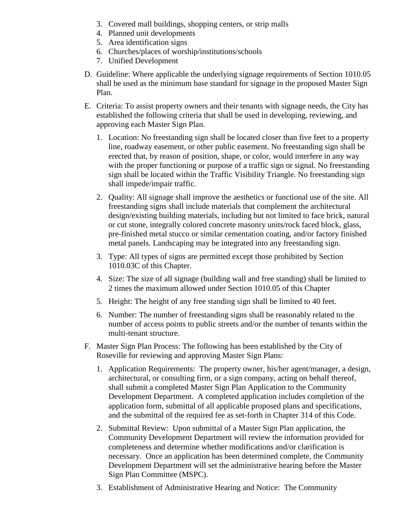- 3. Covered mall buildings, shopping centers, or strip malls
- 4. Planned unit developments
- 5. Area identification signs
- 6. Churches/places of worship/institutions/schools
- 7. Unified Development
- D. Guideline: Where applicable the underlying signage requirements of Section 1010.05 shall be used as the minimum base standard for signage in the proposed Master Sign Plan.
- E. Criteria: To assist property owners and their tenants with signage needs, the City has established the following criteria that shall be used in developing, reviewing, and approving each Master Sign Plan.
	- 1. Location: No freestanding sign shall be located closer than five feet to a property line, roadway easement, or other public easement. No freestanding sign shall be erected that, by reason of position, shape, or color, would interfere in any way with the proper functioning or purpose of a traffic sign or signal. No freestanding sign shall be located within the Traffic Visibility Triangle. No freestanding sign shall impede/impair traffic.
	- 2. Quality: All signage shall improve the aesthetics or functional use of the site. All freestanding signs shall include materials that complement the architectural design/existing building materials, including but not limited to face brick, natural or cut stone, integrally colored concrete masonry units/rock faced block, glass, pre-finished metal stucco or similar cementation coating, and/or factory finished metal panels. Landscaping may be integrated into any freestanding sign.
	- 3. Type: All types of signs are permitted except those prohibited by Section 1010.03C of this Chapter.
	- 4. Size: The size of all signage (building wall and free standing) shall be limited to 2 times the maximum allowed under Section 1010.05 of this Chapter
	- 5. Height: The height of any free standing sign shall be limited to 40 feet.
	- 6. Number: The number of freestanding signs shall be reasonably related to the number of access points to public streets and/or the number of tenants within the multi-tenant structure.
- F. Master Sign Plan Process: The following has been established by the City of Roseville for reviewing and approving Master Sign Plans:
	- 1. Application Requirements: The property owner, his/her agent/manager, a design, architectural, or consulting firm, or a sign company, acting on behalf thereof, shall submit a completed Master Sign Plan Application to the Community Development Department. A completed application includes completion of the application form, submittal of all applicable proposed plans and specifications, and the submittal of the required fee as set-forth in Chapter 314 of this Code.
	- 2. Submittal Review: Upon submittal of a Master Sign Plan application, the Community Development Department will review the information provided for completeness and determine whether modifications and/or clarification is necessary. Once an application has been determined complete, the Community Development Department will set the administrative hearing before the Master Sign Plan Committee (MSPC).
	- 3. Establishment of Administrative Hearing and Notice: The Community